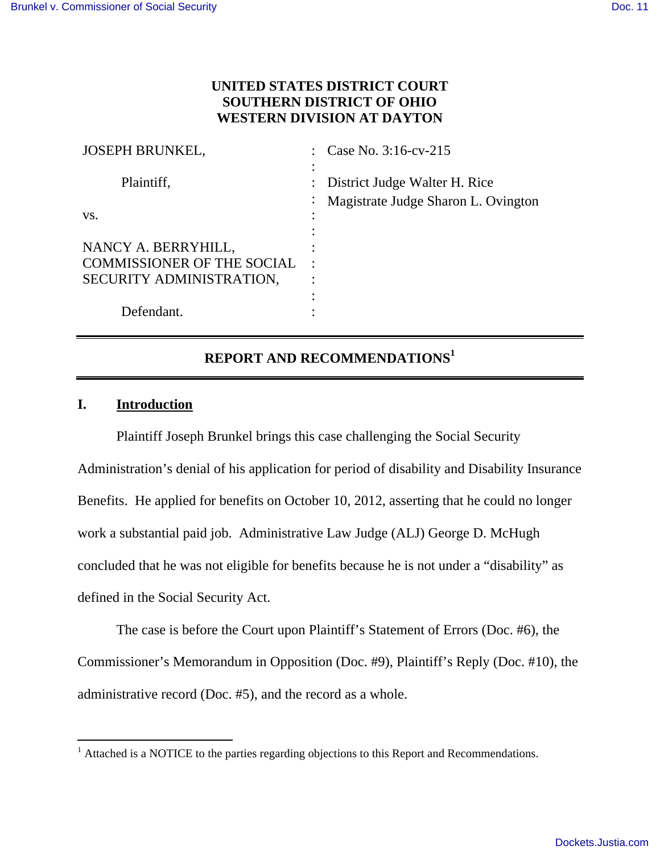## **UNITED STATES DISTRICT COURT SOUTHERN DISTRICT OF OHIO WESTERN DIVISION AT DAYTON**

| <b>JOSEPH BRUNKEL,</b>            |           | Case No. 3:16-cv-215                |
|-----------------------------------|-----------|-------------------------------------|
|                                   |           |                                     |
| Plaintiff,                        |           | District Judge Walter H. Rice       |
|                                   | $\bullet$ | Magistrate Judge Sharon L. Ovington |
| VS.                               |           |                                     |
|                                   |           |                                     |
| NANCY A. BERRYHILL,               |           |                                     |
| <b>COMMISSIONER OF THE SOCIAL</b> |           |                                     |
| SECURITY ADMINISTRATION,          |           |                                     |
|                                   |           |                                     |
| Defendant.                        |           |                                     |

# **REPORT AND RECOMMENDATIONS<sup>1</sup>**

### **I. Introduction**

Plaintiff Joseph Brunkel brings this case challenging the Social Security Administration's denial of his application for period of disability and Disability Insurance Benefits. He applied for benefits on October 10, 2012, asserting that he could no longer work a substantial paid job. Administrative Law Judge (ALJ) George D. McHugh concluded that he was not eligible for benefits because he is not under a "disability" as defined in the Social Security Act.

The case is before the Court upon Plaintiff's Statement of Errors (Doc. #6), the Commissioner's Memorandum in Opposition (Doc. #9), Plaintiff's Reply (Doc. #10), the administrative record (Doc. #5), and the record as a whole.

<sup>&</sup>lt;sup>1</sup> Attached is a NOTICE to the parties regarding objections to this Report and Recommendations.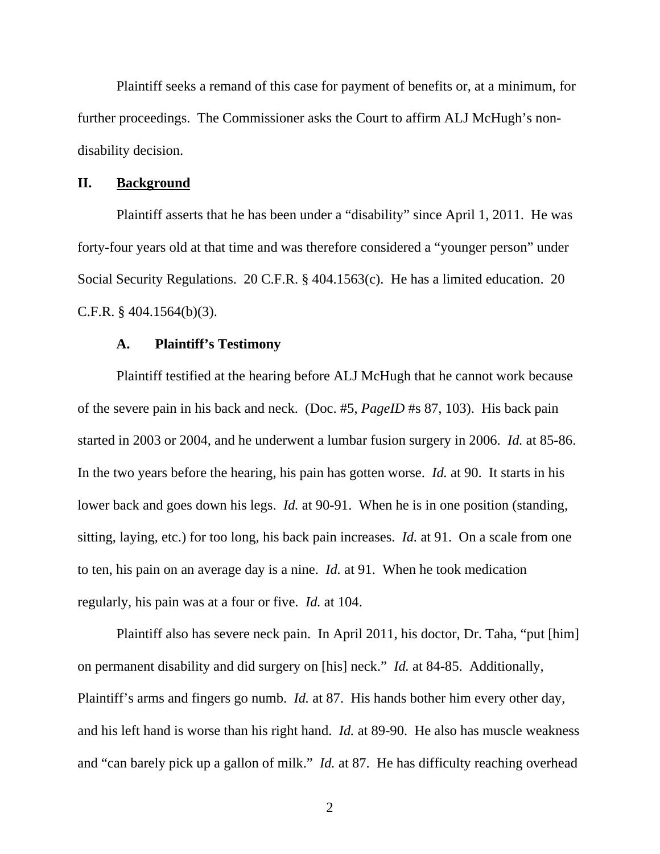Plaintiff seeks a remand of this case for payment of benefits or, at a minimum, for further proceedings. The Commissioner asks the Court to affirm ALJ McHugh's nondisability decision.

#### **II. Background**

Plaintiff asserts that he has been under a "disability" since April 1, 2011. He was forty-four years old at that time and was therefore considered a "younger person" under Social Security Regulations. 20 C.F.R. § 404.1563(c). He has a limited education. 20 C.F.R. § 404.1564(b)(3).

### **A. Plaintiff's Testimony**

Plaintiff testified at the hearing before ALJ McHugh that he cannot work because of the severe pain in his back and neck. (Doc. #5, *PageID* #s 87, 103). His back pain started in 2003 or 2004, and he underwent a lumbar fusion surgery in 2006. *Id.* at 85-86. In the two years before the hearing, his pain has gotten worse. *Id.* at 90. It starts in his lower back and goes down his legs. *Id.* at 90-91. When he is in one position (standing, sitting, laying, etc.) for too long, his back pain increases. *Id.* at 91. On a scale from one to ten, his pain on an average day is a nine. *Id.* at 91. When he took medication regularly, his pain was at a four or five. *Id.* at 104.

Plaintiff also has severe neck pain. In April 2011, his doctor, Dr. Taha, "put [him] on permanent disability and did surgery on [his] neck." *Id.* at 84-85. Additionally, Plaintiff's arms and fingers go numb. *Id.* at 87. His hands bother him every other day, and his left hand is worse than his right hand. *Id.* at 89-90. He also has muscle weakness and "can barely pick up a gallon of milk." *Id.* at 87. He has difficulty reaching overhead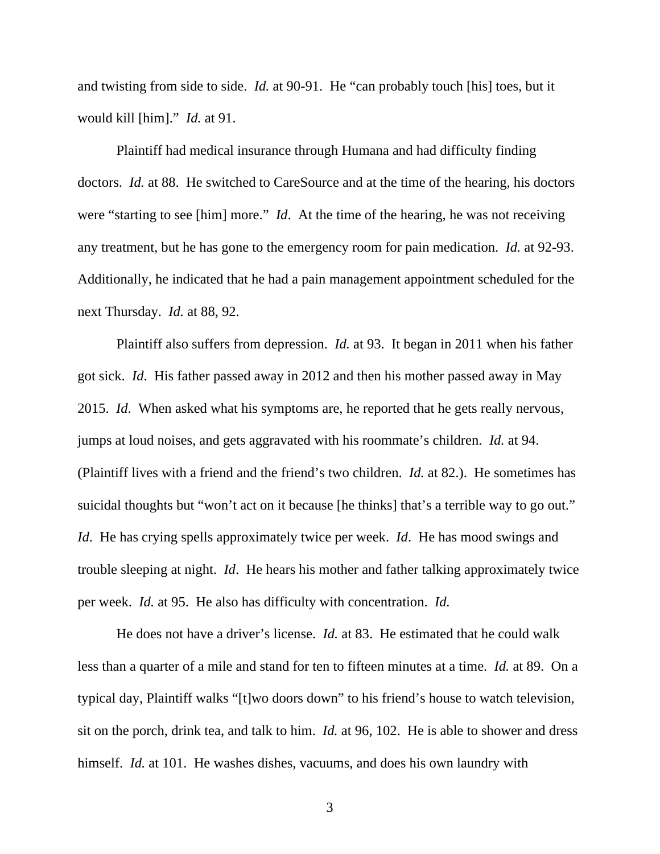and twisting from side to side. *Id.* at 90-91. He "can probably touch [his] toes, but it would kill [him]." *Id.* at 91.

Plaintiff had medical insurance through Humana and had difficulty finding doctors. *Id.* at 88. He switched to CareSource and at the time of the hearing, his doctors were "starting to see [him] more." *Id*. At the time of the hearing, he was not receiving any treatment, but he has gone to the emergency room for pain medication. *Id.* at 92-93. Additionally, he indicated that he had a pain management appointment scheduled for the next Thursday. *Id.* at 88, 92.

Plaintiff also suffers from depression. *Id.* at 93. It began in 2011 when his father got sick. *Id*. His father passed away in 2012 and then his mother passed away in May 2015. *Id*. When asked what his symptoms are, he reported that he gets really nervous, jumps at loud noises, and gets aggravated with his roommate's children. *Id.* at 94. (Plaintiff lives with a friend and the friend's two children. *Id.* at 82.). He sometimes has suicidal thoughts but "won't act on it because [he thinks] that's a terrible way to go out." *Id*. He has crying spells approximately twice per week. *Id*. He has mood swings and trouble sleeping at night. *Id*. He hears his mother and father talking approximately twice per week. *Id.* at 95. He also has difficulty with concentration. *Id.*

He does not have a driver's license. *Id.* at 83. He estimated that he could walk less than a quarter of a mile and stand for ten to fifteen minutes at a time. *Id.* at 89. On a typical day, Plaintiff walks "[t]wo doors down" to his friend's house to watch television, sit on the porch, drink tea, and talk to him. *Id.* at 96, 102. He is able to shower and dress himself. *Id.* at 101. He washes dishes, vacuums, and does his own laundry with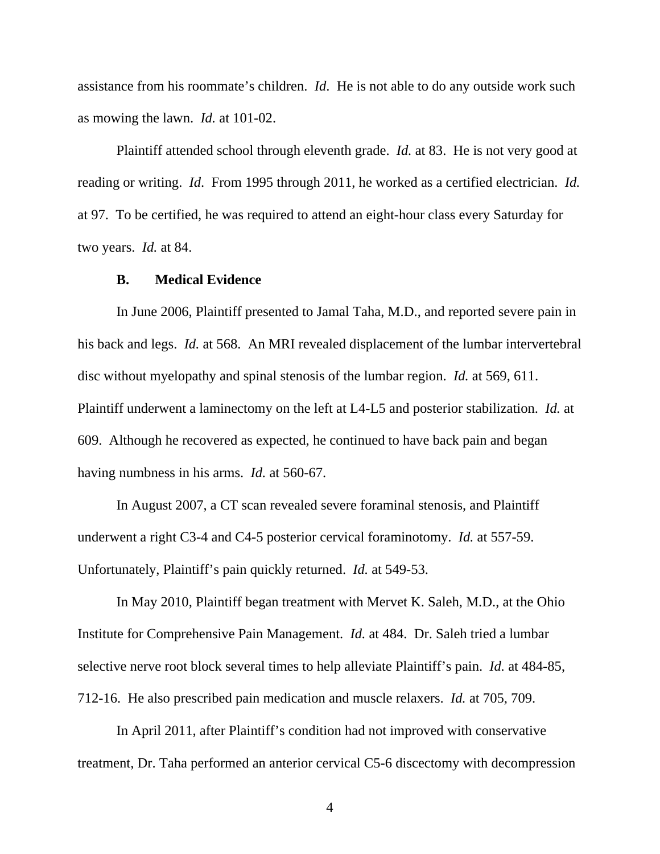assistance from his roommate's children. *Id*. He is not able to do any outside work such as mowing the lawn. *Id.* at 101-02.

Plaintiff attended school through eleventh grade. *Id.* at 83. He is not very good at reading or writing. *Id*. From 1995 through 2011, he worked as a certified electrician. *Id.* at 97. To be certified, he was required to attend an eight-hour class every Saturday for two years. *Id.* at 84.

### **B. Medical Evidence**

In June 2006, Plaintiff presented to Jamal Taha, M.D., and reported severe pain in his back and legs. *Id.* at 568. An MRI revealed displacement of the lumbar intervertebral disc without myelopathy and spinal stenosis of the lumbar region. *Id.* at 569, 611. Plaintiff underwent a laminectomy on the left at L4-L5 and posterior stabilization. *Id.* at 609. Although he recovered as expected, he continued to have back pain and began having numbness in his arms. *Id.* at 560-67.

In August 2007, a CT scan revealed severe foraminal stenosis, and Plaintiff underwent a right C3-4 and C4-5 posterior cervical foraminotomy. *Id.* at 557-59. Unfortunately, Plaintiff's pain quickly returned. *Id.* at 549-53.

In May 2010, Plaintiff began treatment with Mervet K. Saleh, M.D., at the Ohio Institute for Comprehensive Pain Management. *Id.* at 484. Dr. Saleh tried a lumbar selective nerve root block several times to help alleviate Plaintiff's pain. *Id.* at 484-85, 712-16. He also prescribed pain medication and muscle relaxers. *Id.* at 705, 709.

In April 2011, after Plaintiff's condition had not improved with conservative treatment, Dr. Taha performed an anterior cervical C5-6 discectomy with decompression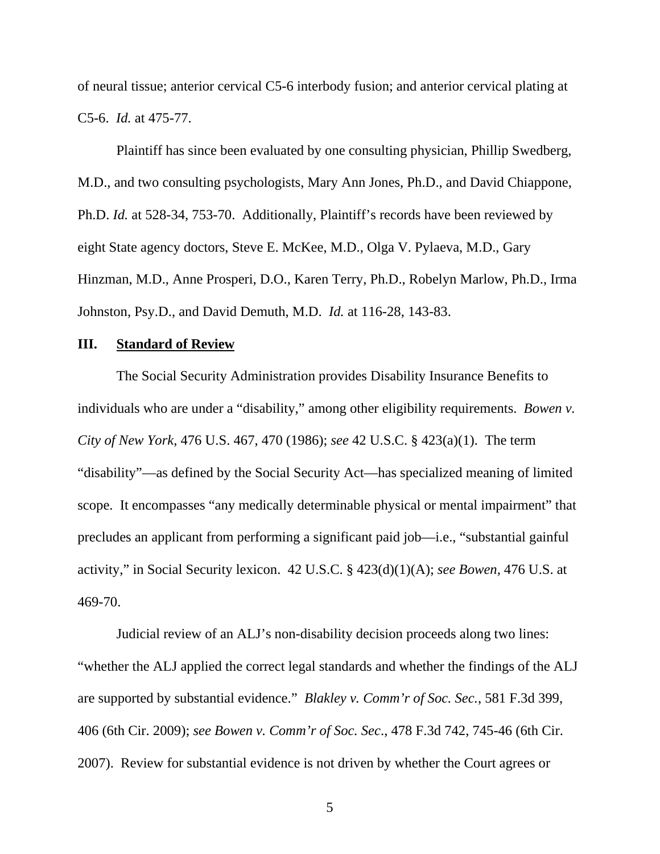of neural tissue; anterior cervical C5-6 interbody fusion; and anterior cervical plating at C5-6. *Id.* at 475-77.

Plaintiff has since been evaluated by one consulting physician, Phillip Swedberg, M.D., and two consulting psychologists, Mary Ann Jones, Ph.D., and David Chiappone, Ph.D. *Id.* at 528-34, 753-70. Additionally, Plaintiff's records have been reviewed by eight State agency doctors, Steve E. McKee, M.D., Olga V. Pylaeva, M.D., Gary Hinzman, M.D., Anne Prosperi, D.O., Karen Terry, Ph.D., Robelyn Marlow, Ph.D., Irma Johnston, Psy.D., and David Demuth, M.D. *Id.* at 116-28, 143-83.

### **III. Standard of Review**

The Social Security Administration provides Disability Insurance Benefits to individuals who are under a "disability," among other eligibility requirements. *Bowen v. City of New York,* 476 U.S. 467, 470 (1986); *see* 42 U.S.C. § 423(a)(1). The term "disability"—as defined by the Social Security Act—has specialized meaning of limited scope. It encompasses "any medically determinable physical or mental impairment" that precludes an applicant from performing a significant paid job—i.e., "substantial gainful activity," in Social Security lexicon. 42 U.S.C. § 423(d)(1)(A); *see Bowen,* 476 U.S. at 469-70.

Judicial review of an ALJ's non-disability decision proceeds along two lines: "whether the ALJ applied the correct legal standards and whether the findings of the ALJ are supported by substantial evidence." *Blakley v. Comm'r of Soc. Sec.*, 581 F.3d 399, 406 (6th Cir. 2009); *see Bowen v. Comm'r of Soc. Sec*., 478 F.3d 742, 745-46 (6th Cir. 2007). Review for substantial evidence is not driven by whether the Court agrees or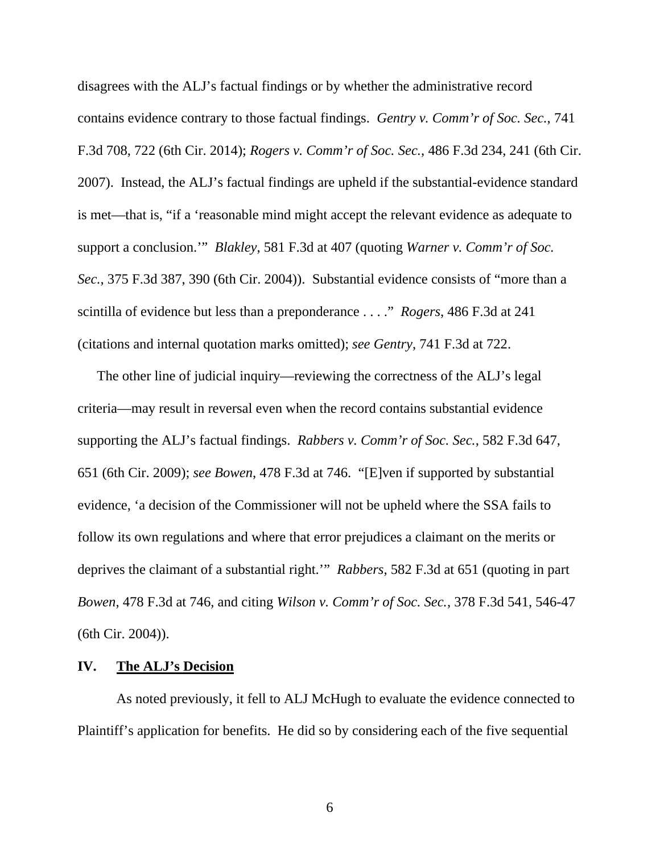disagrees with the ALJ's factual findings or by whether the administrative record contains evidence contrary to those factual findings. *Gentry v. Comm'r of Soc. Sec.*, 741 F.3d 708, 722 (6th Cir. 2014); *Rogers v. Comm'r of Soc. Sec.*, 486 F.3d 234, 241 (6th Cir. 2007). Instead, the ALJ's factual findings are upheld if the substantial-evidence standard is met—that is, "if a 'reasonable mind might accept the relevant evidence as adequate to support a conclusion.'" *Blakley*, 581 F.3d at 407 (quoting *Warner v. Comm'r of Soc. Sec.*, 375 F.3d 387, 390 (6th Cir. 2004)). Substantial evidence consists of "more than a scintilla of evidence but less than a preponderance . . . ." *Rogers*, 486 F.3d at 241 (citations and internal quotation marks omitted); *see Gentry*, 741 F.3d at 722.

The other line of judicial inquiry—reviewing the correctness of the ALJ's legal criteria—may result in reversal even when the record contains substantial evidence supporting the ALJ's factual findings. *Rabbers v. Comm'r of Soc. Sec.*, 582 F.3d 647, 651 (6th Cir. 2009); *see Bowen*, 478 F.3d at 746. "[E]ven if supported by substantial evidence, 'a decision of the Commissioner will not be upheld where the SSA fails to follow its own regulations and where that error prejudices a claimant on the merits or deprives the claimant of a substantial right.'" *Rabbers*, 582 F.3d at 651 (quoting in part *Bowen*, 478 F.3d at 746, and citing *Wilson v. Comm'r of Soc. Sec.*, 378 F.3d 541, 546-47 (6th Cir. 2004)).

### **IV. The ALJ's Decision**

 As noted previously, it fell to ALJ McHugh to evaluate the evidence connected to Plaintiff's application for benefits. He did so by considering each of the five sequential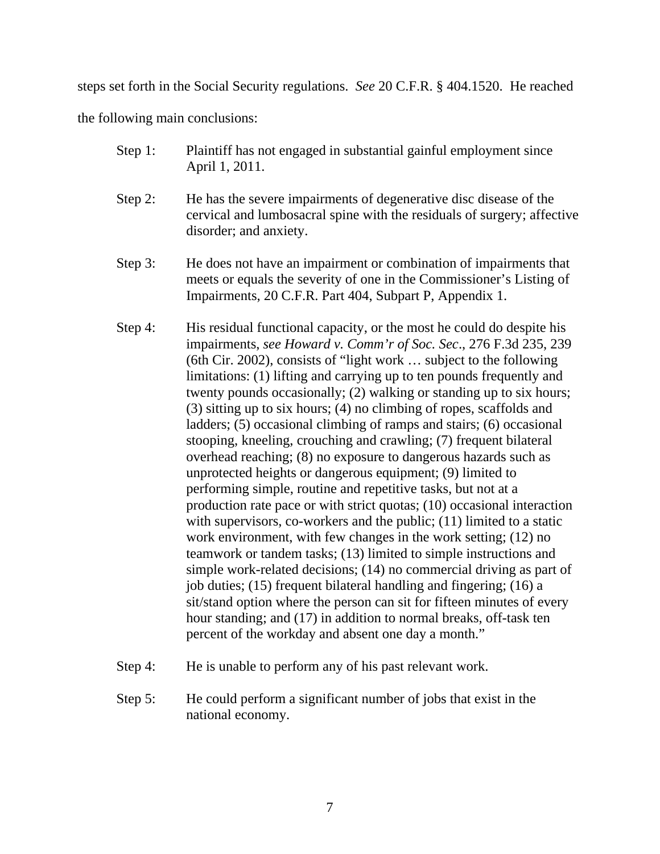steps set forth in the Social Security regulations. *See* 20 C.F.R. § 404.1520. He reached

the following main conclusions:

- Step 1: Plaintiff has not engaged in substantial gainful employment since April 1, 2011.
- Step 2: He has the severe impairments of degenerative disc disease of the cervical and lumbosacral spine with the residuals of surgery; affective disorder; and anxiety.
- Step 3: He does not have an impairment or combination of impairments that meets or equals the severity of one in the Commissioner's Listing of Impairments, 20 C.F.R. Part 404, Subpart P, Appendix 1.
- Step 4: His residual functional capacity, or the most he could do despite his impairments, *see Howard v. Comm'r of Soc. Sec*., 276 F.3d 235, 239 (6th Cir. 2002), consists of "light work … subject to the following limitations: (1) lifting and carrying up to ten pounds frequently and twenty pounds occasionally; (2) walking or standing up to six hours; (3) sitting up to six hours; (4) no climbing of ropes, scaffolds and ladders; (5) occasional climbing of ramps and stairs; (6) occasional stooping, kneeling, crouching and crawling; (7) frequent bilateral overhead reaching; (8) no exposure to dangerous hazards such as unprotected heights or dangerous equipment; (9) limited to performing simple, routine and repetitive tasks, but not at a production rate pace or with strict quotas; (10) occasional interaction with supervisors, co-workers and the public; (11) limited to a static work environment, with few changes in the work setting; (12) no teamwork or tandem tasks; (13) limited to simple instructions and simple work-related decisions; (14) no commercial driving as part of job duties; (15) frequent bilateral handling and fingering; (16) a sit/stand option where the person can sit for fifteen minutes of every hour standing; and (17) in addition to normal breaks, off-task ten percent of the workday and absent one day a month."
- Step 4: He is unable to perform any of his past relevant work.
- Step 5: He could perform a significant number of jobs that exist in the national economy.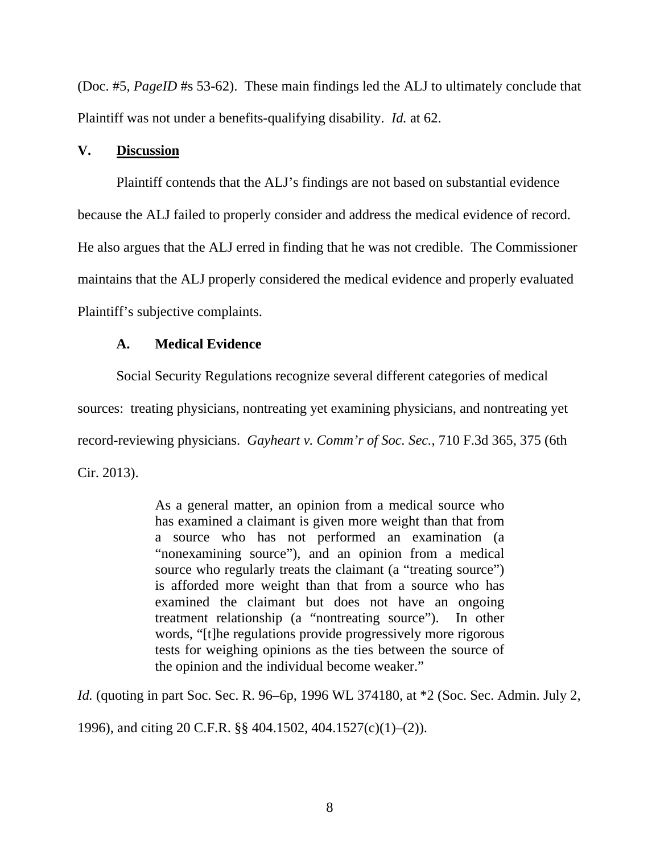(Doc. #5, *PageID* #s 53-62). These main findings led the ALJ to ultimately conclude that Plaintiff was not under a benefits-qualifying disability. *Id.* at 62.

### **V. Discussion**

Plaintiff contends that the ALJ's findings are not based on substantial evidence because the ALJ failed to properly consider and address the medical evidence of record. He also argues that the ALJ erred in finding that he was not credible. The Commissioner maintains that the ALJ properly considered the medical evidence and properly evaluated Plaintiff's subjective complaints.

### **A. Medical Evidence**

Social Security Regulations recognize several different categories of medical sources: treating physicians, nontreating yet examining physicians, and nontreating yet record-reviewing physicians. *Gayheart v. Comm'r of Soc. Sec.*, 710 F.3d 365, 375 (6th Cir. 2013).

> As a general matter, an opinion from a medical source who has examined a claimant is given more weight than that from a source who has not performed an examination (a "nonexamining source"), and an opinion from a medical source who regularly treats the claimant (a "treating source") is afforded more weight than that from a source who has examined the claimant but does not have an ongoing treatment relationship (a "nontreating source"). In other words, "[t]he regulations provide progressively more rigorous tests for weighing opinions as the ties between the source of the opinion and the individual become weaker."

*Id.* (quoting in part Soc. Sec. R. 96–6p, 1996 WL 374180, at  $*2$  (Soc. Sec. Admin. July 2,

1996), and citing 20 C.F.R. §§ 404.1502, 404.1527(c)(1)–(2)).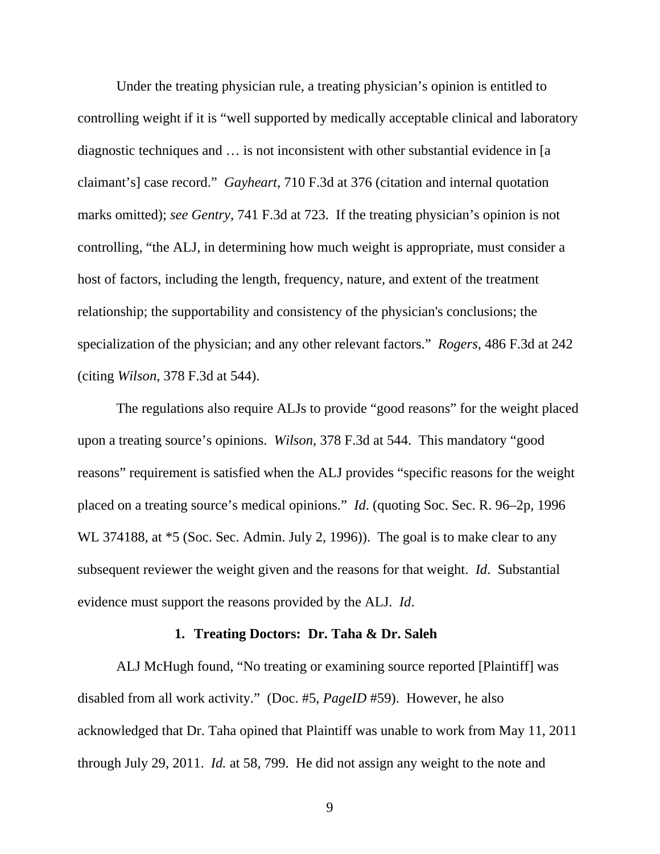Under the treating physician rule, a treating physician's opinion is entitled to controlling weight if it is "well supported by medically acceptable clinical and laboratory diagnostic techniques and … is not inconsistent with other substantial evidence in [a claimant's] case record." *Gayheart*, 710 F.3d at 376 (citation and internal quotation marks omitted); *see Gentry*, 741 F.3d at 723. If the treating physician's opinion is not controlling, "the ALJ, in determining how much weight is appropriate, must consider a host of factors, including the length, frequency, nature, and extent of the treatment relationship; the supportability and consistency of the physician's conclusions; the specialization of the physician; and any other relevant factors." *Rogers*, 486 F.3d at 242 (citing *Wilson*, 378 F.3d at 544).

The regulations also require ALJs to provide "good reasons" for the weight placed upon a treating source's opinions. *Wilson*, 378 F.3d at 544. This mandatory "good reasons" requirement is satisfied when the ALJ provides "specific reasons for the weight placed on a treating source's medical opinions." *Id*. (quoting Soc. Sec. R. 96–2p, 1996 WL 374188, at  $*5$  (Soc. Sec. Admin. July 2, 1996)). The goal is to make clear to any subsequent reviewer the weight given and the reasons for that weight. *Id*. Substantial evidence must support the reasons provided by the ALJ. *Id*.

#### **1. Treating Doctors: Dr. Taha & Dr. Saleh**

ALJ McHugh found, "No treating or examining source reported [Plaintiff] was disabled from all work activity." (Doc. #5, *PageID* #59). However, he also acknowledged that Dr. Taha opined that Plaintiff was unable to work from May 11, 2011 through July 29, 2011. *Id.* at 58, 799. He did not assign any weight to the note and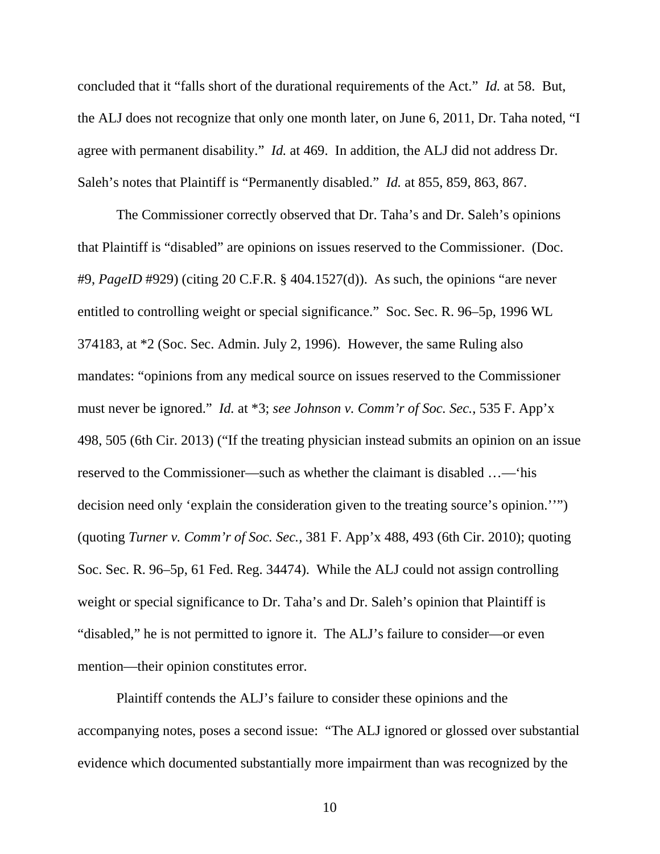concluded that it "falls short of the durational requirements of the Act." *Id.* at 58. But, the ALJ does not recognize that only one month later, on June 6, 2011, Dr. Taha noted, "I agree with permanent disability." *Id.* at 469. In addition, the ALJ did not address Dr. Saleh's notes that Plaintiff is "Permanently disabled." *Id.* at 855, 859, 863, 867.

The Commissioner correctly observed that Dr. Taha's and Dr. Saleh's opinions that Plaintiff is "disabled" are opinions on issues reserved to the Commissioner. (Doc. #9, *PageID* #929) (citing 20 C.F.R. § 404.1527(d)). As such, the opinions "are never entitled to controlling weight or special significance." Soc. Sec. R. 96–5p, 1996 WL 374183, at \*2 (Soc. Sec. Admin. July 2, 1996). However, the same Ruling also mandates: "opinions from any medical source on issues reserved to the Commissioner must never be ignored." *Id.* at \*3; *see Johnson v. Comm'r of Soc. Sec.*, 535 F. App'x 498, 505 (6th Cir. 2013) ("If the treating physician instead submits an opinion on an issue reserved to the Commissioner—such as whether the claimant is disabled …—'his decision need only 'explain the consideration given to the treating source's opinion.''") (quoting *Turner v. Comm'r of Soc. Sec.,* 381 F. App'x 488, 493 (6th Cir. 2010); quoting Soc. Sec. R. 96–5p, 61 Fed. Reg. 34474). While the ALJ could not assign controlling weight or special significance to Dr. Taha's and Dr. Saleh's opinion that Plaintiff is "disabled," he is not permitted to ignore it. The ALJ's failure to consider—or even mention—their opinion constitutes error.

Plaintiff contends the ALJ's failure to consider these opinions and the accompanying notes, poses a second issue: "The ALJ ignored or glossed over substantial evidence which documented substantially more impairment than was recognized by the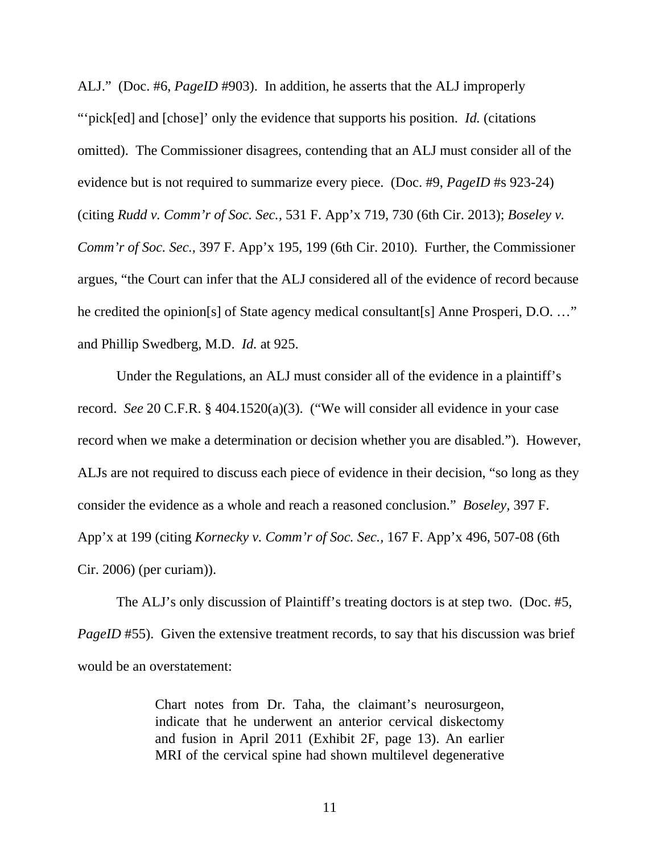ALJ." (Doc. #6, *PageID* #903). In addition, he asserts that the ALJ improperly "'pick[ed] and [chose]' only the evidence that supports his position. *Id.* (citations omitted). The Commissioner disagrees, contending that an ALJ must consider all of the evidence but is not required to summarize every piece. (Doc. #9, *PageID* #s 923-24) (citing *Rudd v. Comm'r of Soc. Sec.,* 531 F. App'x 719, 730 (6th Cir. 2013); *Boseley v. Comm'r of Soc. Sec.,* 397 F. App'x 195, 199 (6th Cir. 2010). Further, the Commissioner argues, "the Court can infer that the ALJ considered all of the evidence of record because he credited the opinion[s] of State agency medical consultant[s] Anne Prosperi, D.O. ..." and Phillip Swedberg, M.D. *Id.* at 925.

Under the Regulations, an ALJ must consider all of the evidence in a plaintiff's record. *See* 20 C.F.R. § 404.1520(a)(3). ("We will consider all evidence in your case record when we make a determination or decision whether you are disabled."). However, ALJs are not required to discuss each piece of evidence in their decision, "so long as they consider the evidence as a whole and reach a reasoned conclusion." *Boseley,* 397 F. App'x at 199 (citing *Kornecky v. Comm'r of Soc. Sec.,* 167 F. App'x 496, 507-08 (6th Cir. 2006) (per curiam)).

The ALJ's only discussion of Plaintiff's treating doctors is at step two. (Doc. #5, *PageID* #55). Given the extensive treatment records, to say that his discussion was brief would be an overstatement:

> Chart notes from Dr. Taha, the claimant's neurosurgeon, indicate that he underwent an anterior cervical diskectomy and fusion in April 2011 (Exhibit 2F, page 13). An earlier MRI of the cervical spine had shown multilevel degenerative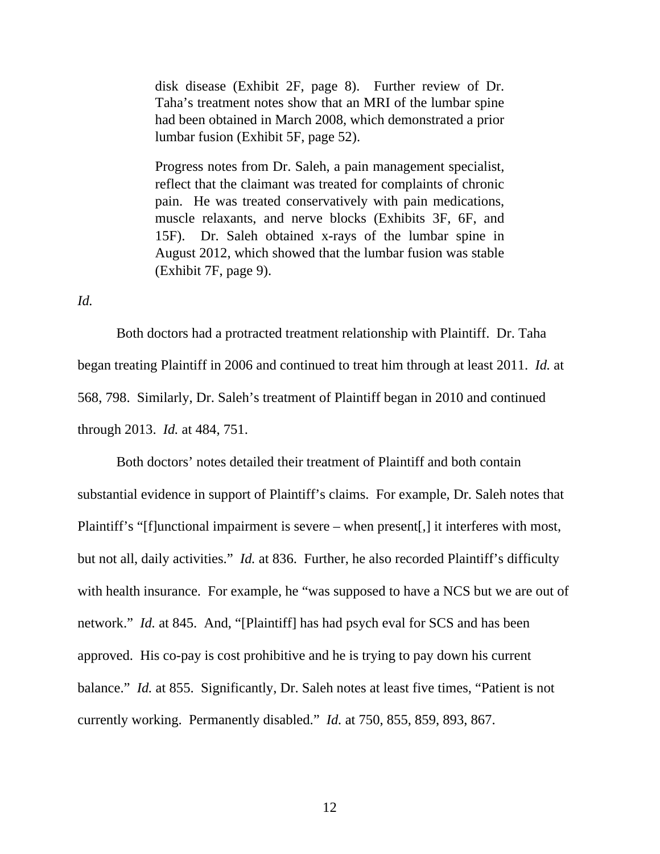disk disease (Exhibit 2F, page 8). Further review of Dr. Taha's treatment notes show that an MRI of the lumbar spine had been obtained in March 2008, which demonstrated a prior lumbar fusion (Exhibit 5F, page 52).

Progress notes from Dr. Saleh, a pain management specialist, reflect that the claimant was treated for complaints of chronic pain. He was treated conservatively with pain medications, muscle relaxants, and nerve blocks (Exhibits 3F, 6F, and 15F). Dr. Saleh obtained x-rays of the lumbar spine in August 2012, which showed that the lumbar fusion was stable (Exhibit 7F, page 9).

*Id.*

Both doctors had a protracted treatment relationship with Plaintiff. Dr. Taha began treating Plaintiff in 2006 and continued to treat him through at least 2011. *Id.* at 568, 798. Similarly, Dr. Saleh's treatment of Plaintiff began in 2010 and continued through 2013. *Id.* at 484, 751.

Both doctors' notes detailed their treatment of Plaintiff and both contain substantial evidence in support of Plaintiff's claims. For example, Dr. Saleh notes that Plaintiff's "[f]unctional impairment is severe – when present[,] it interferes with most, but not all, daily activities." *Id.* at 836. Further, he also recorded Plaintiff's difficulty with health insurance. For example, he "was supposed to have a NCS but we are out of network." *Id.* at 845. And, "[Plaintiff] has had psych eval for SCS and has been approved. His co-pay is cost prohibitive and he is trying to pay down his current balance." *Id.* at 855. Significantly, Dr. Saleh notes at least five times, "Patient is not currently working. Permanently disabled." *Id.* at 750, 855, 859, 893, 867.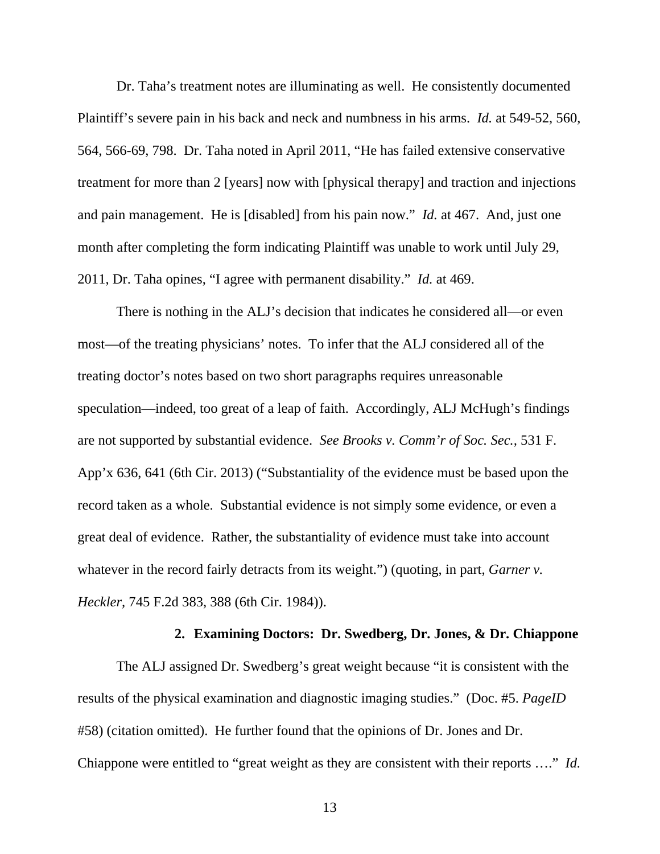Dr. Taha's treatment notes are illuminating as well. He consistently documented Plaintiff's severe pain in his back and neck and numbness in his arms. *Id.* at 549-52, 560, 564, 566-69, 798. Dr. Taha noted in April 2011, "He has failed extensive conservative treatment for more than 2 [years] now with [physical therapy] and traction and injections and pain management. He is [disabled] from his pain now." *Id.* at 467. And, just one month after completing the form indicating Plaintiff was unable to work until July 29, 2011, Dr. Taha opines, "I agree with permanent disability." *Id.* at 469.

There is nothing in the ALJ's decision that indicates he considered all—or even most—of the treating physicians' notes. To infer that the ALJ considered all of the treating doctor's notes based on two short paragraphs requires unreasonable speculation—indeed, too great of a leap of faith. Accordingly, ALJ McHugh's findings are not supported by substantial evidence. *See Brooks v. Comm'r of Soc. Sec.,* 531 F. App'x 636, 641 (6th Cir. 2013) ("Substantiality of the evidence must be based upon the record taken as a whole. Substantial evidence is not simply some evidence, or even a great deal of evidence. Rather, the substantiality of evidence must take into account whatever in the record fairly detracts from its weight.") (quoting, in part, *Garner v. Heckler,* 745 F.2d 383, 388 (6th Cir. 1984)).

### **2. Examining Doctors: Dr. Swedberg, Dr. Jones, & Dr. Chiappone**

The ALJ assigned Dr. Swedberg's great weight because "it is consistent with the results of the physical examination and diagnostic imaging studies." (Doc. #5. *PageID* #58) (citation omitted). He further found that the opinions of Dr. Jones and Dr. Chiappone were entitled to "great weight as they are consistent with their reports …." *Id.*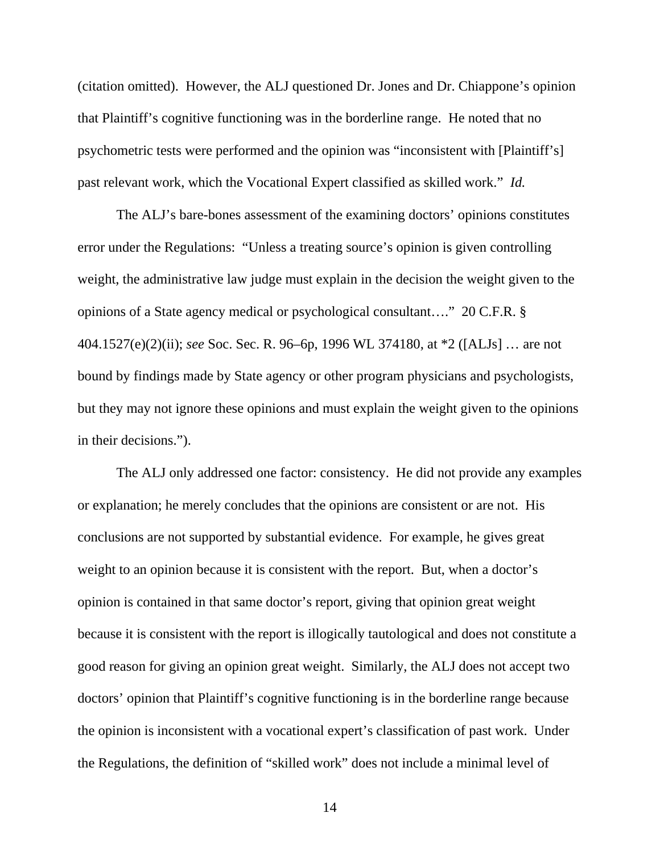(citation omitted). However, the ALJ questioned Dr. Jones and Dr. Chiappone's opinion that Plaintiff's cognitive functioning was in the borderline range. He noted that no psychometric tests were performed and the opinion was "inconsistent with [Plaintiff's] past relevant work, which the Vocational Expert classified as skilled work." *Id.*

The ALJ's bare-bones assessment of the examining doctors' opinions constitutes error under the Regulations: "Unless a treating source's opinion is given controlling weight, the administrative law judge must explain in the decision the weight given to the opinions of a State agency medical or psychological consultant…." 20 C.F.R. § 404.1527(e)(2)(ii); *see* Soc. Sec. R. 96–6p, 1996 WL 374180, at \*2 ([ALJs] … are not bound by findings made by State agency or other program physicians and psychologists, but they may not ignore these opinions and must explain the weight given to the opinions in their decisions.").

The ALJ only addressed one factor: consistency. He did not provide any examples or explanation; he merely concludes that the opinions are consistent or are not. His conclusions are not supported by substantial evidence. For example, he gives great weight to an opinion because it is consistent with the report. But, when a doctor's opinion is contained in that same doctor's report, giving that opinion great weight because it is consistent with the report is illogically tautological and does not constitute a good reason for giving an opinion great weight. Similarly, the ALJ does not accept two doctors' opinion that Plaintiff's cognitive functioning is in the borderline range because the opinion is inconsistent with a vocational expert's classification of past work. Under the Regulations, the definition of "skilled work" does not include a minimal level of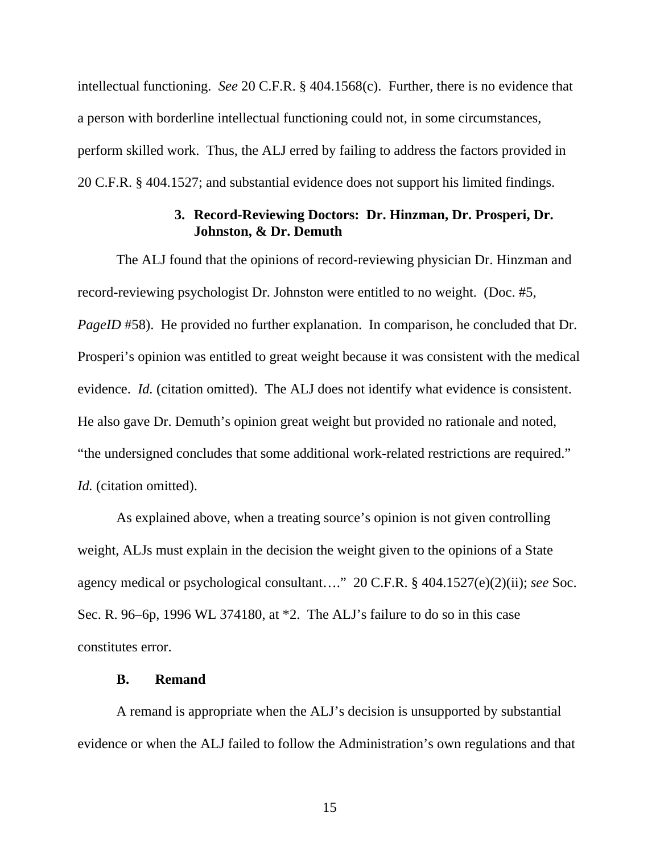intellectual functioning. *See* 20 C.F.R. § 404.1568(c). Further, there is no evidence that a person with borderline intellectual functioning could not, in some circumstances, perform skilled work. Thus, the ALJ erred by failing to address the factors provided in 20 C.F.R. § 404.1527; and substantial evidence does not support his limited findings.

### **3. Record-Reviewing Doctors: Dr. Hinzman, Dr. Prosperi, Dr. Johnston, & Dr. Demuth**

The ALJ found that the opinions of record-reviewing physician Dr. Hinzman and record-reviewing psychologist Dr. Johnston were entitled to no weight. (Doc. #5, *PageID* #58). He provided no further explanation. In comparison, he concluded that Dr. Prosperi's opinion was entitled to great weight because it was consistent with the medical evidence. *Id.* (citation omitted). The ALJ does not identify what evidence is consistent. He also gave Dr. Demuth's opinion great weight but provided no rationale and noted, "the undersigned concludes that some additional work-related restrictions are required." *Id.* (citation omitted).

As explained above, when a treating source's opinion is not given controlling weight, ALJs must explain in the decision the weight given to the opinions of a State agency medical or psychological consultant…." 20 C.F.R. § 404.1527(e)(2)(ii); *see* Soc. Sec. R. 96–6p, 1996 WL 374180, at \*2. The ALJ's failure to do so in this case constitutes error.

### **B. Remand**

A remand is appropriate when the ALJ's decision is unsupported by substantial evidence or when the ALJ failed to follow the Administration's own regulations and that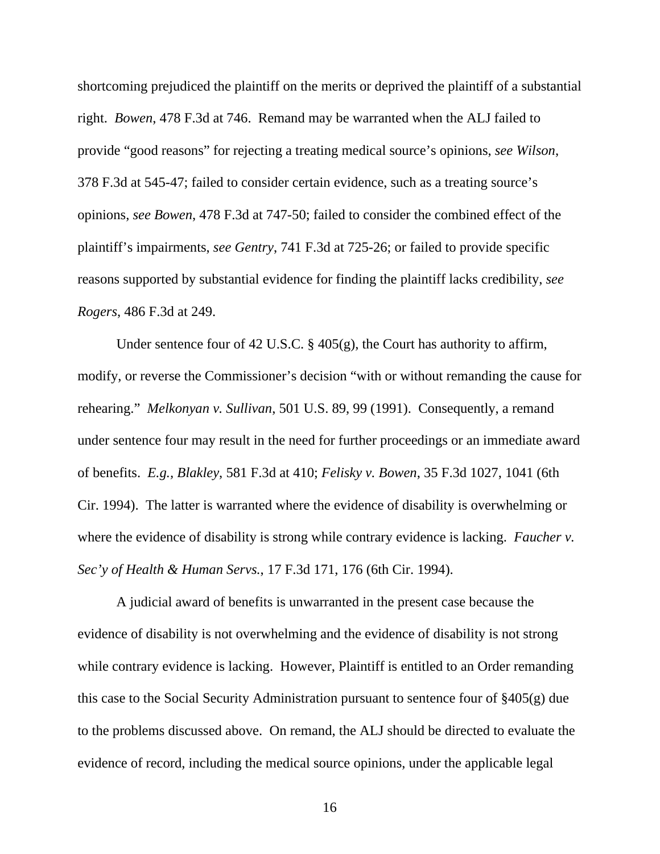shortcoming prejudiced the plaintiff on the merits or deprived the plaintiff of a substantial right. *Bowen*, 478 F.3d at 746. Remand may be warranted when the ALJ failed to provide "good reasons" for rejecting a treating medical source's opinions, *see Wilson*, 378 F.3d at 545-47; failed to consider certain evidence, such as a treating source's opinions, *see Bowen*, 478 F.3d at 747-50; failed to consider the combined effect of the plaintiff's impairments, *see Gentry*, 741 F.3d at 725-26; or failed to provide specific reasons supported by substantial evidence for finding the plaintiff lacks credibility, *see Rogers*, 486 F.3d at 249.

Under sentence four of 42 U.S.C. § 405(g), the Court has authority to affirm, modify, or reverse the Commissioner's decision "with or without remanding the cause for rehearing." *Melkonyan v. Sullivan*, 501 U.S. 89, 99 (1991). Consequently, a remand under sentence four may result in the need for further proceedings or an immediate award of benefits. *E.g., Blakley*, 581 F.3d at 410; *Felisky v. Bowen*, 35 F.3d 1027, 1041 (6th Cir. 1994). The latter is warranted where the evidence of disability is overwhelming or where the evidence of disability is strong while contrary evidence is lacking. *Faucher v. Sec'y of Health & Human Servs.*, 17 F.3d 171, 176 (6th Cir. 1994).

A judicial award of benefits is unwarranted in the present case because the evidence of disability is not overwhelming and the evidence of disability is not strong while contrary evidence is lacking. However, Plaintiff is entitled to an Order remanding this case to the Social Security Administration pursuant to sentence four of §405(g) due to the problems discussed above. On remand, the ALJ should be directed to evaluate the evidence of record, including the medical source opinions, under the applicable legal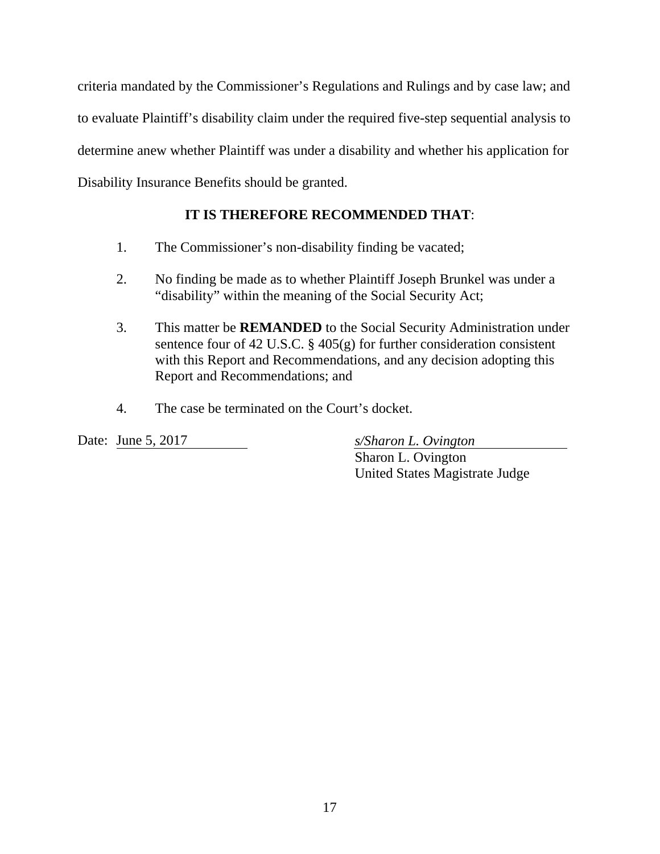criteria mandated by the Commissioner's Regulations and Rulings and by case law; and to evaluate Plaintiff's disability claim under the required five-step sequential analysis to determine anew whether Plaintiff was under a disability and whether his application for Disability Insurance Benefits should be granted.

# **IT IS THEREFORE RECOMMENDED THAT**:

- 1. The Commissioner's non-disability finding be vacated;
- 2. No finding be made as to whether Plaintiff Joseph Brunkel was under a "disability" within the meaning of the Social Security Act;
- 3. This matter be **REMANDED** to the Social Security Administration under sentence four of 42 U.S.C. § 405(g) for further consideration consistent with this Report and Recommendations, and any decision adopting this Report and Recommendations; and
- 4. The case be terminated on the Court's docket.

Date: June 5, 2017 *s/Sharon L. Ovington* 

 Sharon L. Ovington United States Magistrate Judge